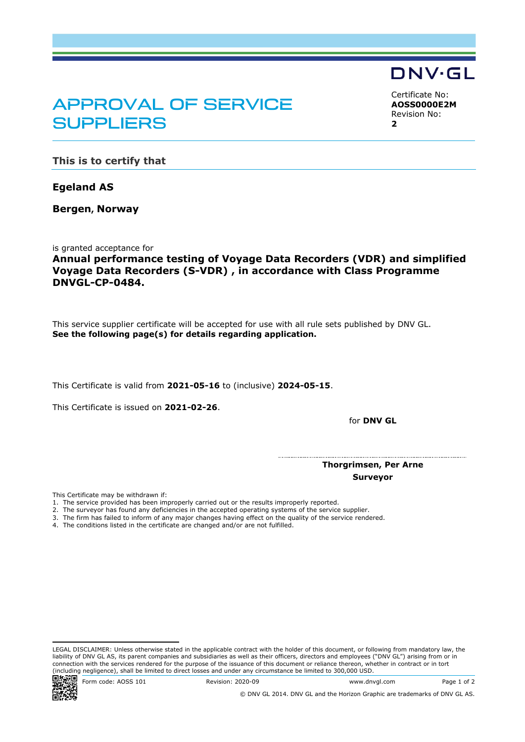## APPROVAL OF SERVICE **SUPPLIERS**

<span id="page-0-2"></span><span id="page-0-1"></span><span id="page-0-0"></span>Certificate No: **AOSS0000E2M** Revision No: **2**

DNV·GL

**This is to certify that**

**Egeland AS**

**Bergen, Norway**

is granted acceptance for

**Annual performance testing of Voyage Data Recorders (VDR) and simplified Voyage Data Recorders (S-VDR) , in accordance with Class Programme DNVGL-CP-0484.**

This service supplier certificate will be accepted for use with all rule sets published by DNV GL. **See the following page(s) for details regarding application.**

This Certificate is valid from **2021-05-16** to (inclusive) **2024-05-15**.

This Certificate is issued on **2021-02-26**.

for **DNV GL**

 **Thorgrimsen, Per Arne Surveyor**

This Certificate may be withdrawn if:

- 1. The service provided has been improperly carried out or the results improperly reported.
- 2. The surveyor has found any deficiencies in the accepted operating systems of the service supplier.
- 3. The firm has failed to inform of any major changes having effect on the quality of the service rendered.
- 4. The conditions listed in the certificate are changed and/or are not fulfilled.

LEGAL DISCLAIMER: Unless otherwise stated in the applicable contract with the holder of this document, or following from mandatory law, the liability of DNV GL AS, its parent companies and subsidiaries as well as their officers, directors and employees ("DNV GL") arising from or in connection with the services rendered for the purpose of the issuance of this document or reliance thereon, whether in contract or in tort (including negligence), shall be limited to direct losses and under any circumstance be limited to 300,000 USD.<br> **Entry Code:** AOSS 101 Revision: 2020-09